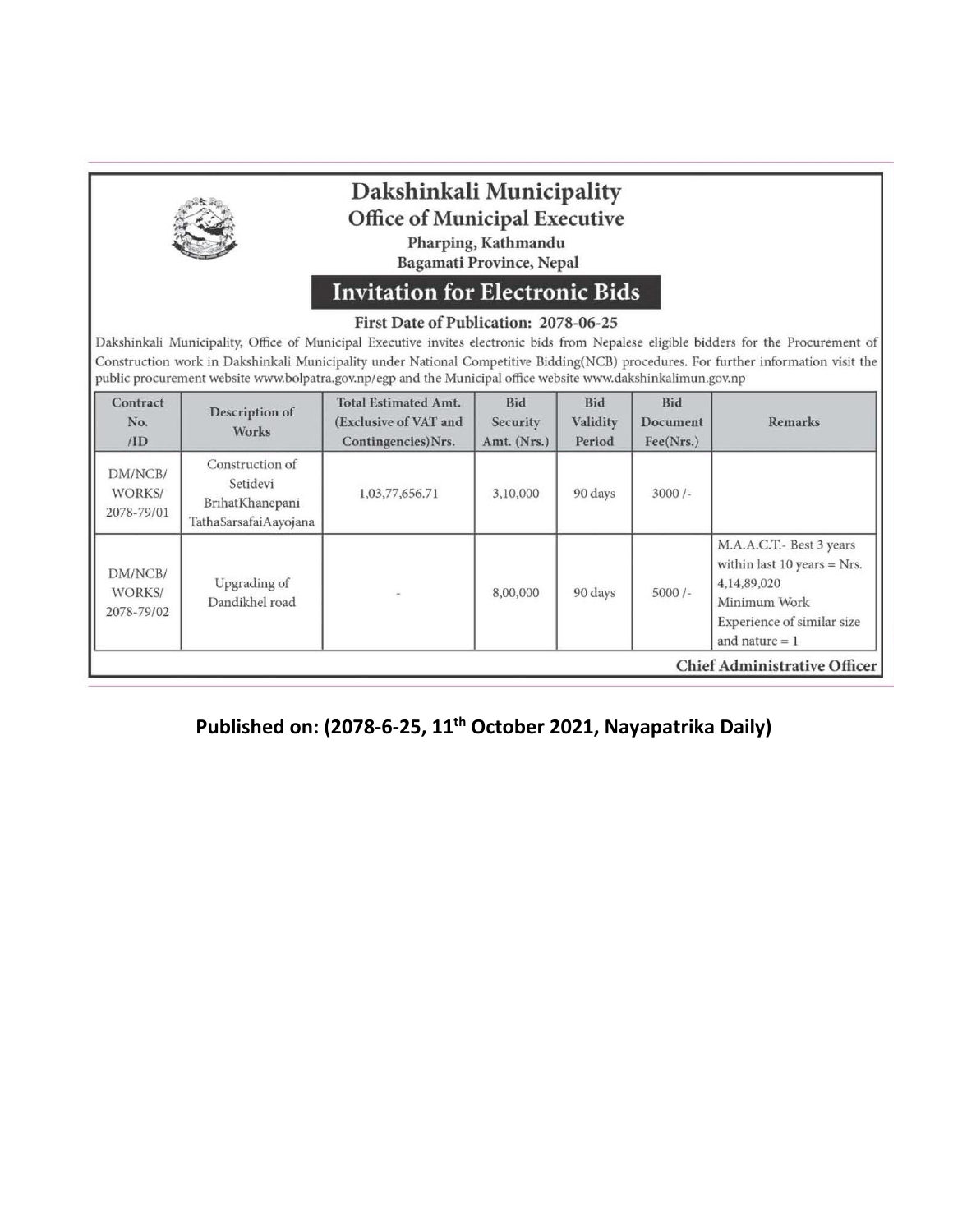|                                 |                                                                         | Dakshinkali Municipality<br><b>Office of Municipal Executive</b>                                                                                                                                | Pharping, Kathmandu<br>Bagamati Province, Nepal |                                  |                                     |                                                                                                                                                                                                                                                                              |
|---------------------------------|-------------------------------------------------------------------------|-------------------------------------------------------------------------------------------------------------------------------------------------------------------------------------------------|-------------------------------------------------|----------------------------------|-------------------------------------|------------------------------------------------------------------------------------------------------------------------------------------------------------------------------------------------------------------------------------------------------------------------------|
|                                 |                                                                         | <b>Invitation for Electronic Bids</b><br>First Date of Publication: 2078-06-25<br>public procurement website www.bolpatra.gov.np/egp and the Municipal office website www.dakshinkalimun.gov.np |                                                 |                                  |                                     | Dakshinkali Municipality, Office of Municipal Executive invites electronic bids from Nepalese eligible bidders for the Procurement of<br>Construction work in Dakshinkali Municipality under National Competitive Bidding(NCB) procedures. For further information visit the |
| Contract<br>No.<br>/ID          | Description of<br><b>Works</b>                                          | <b>Total Estimated Amt.</b><br>(Exclusive of VAT and<br>Contingencies)Nrs.                                                                                                                      | <b>Bid</b><br>Security<br>Amt. (Nrs.)           | <b>Bid</b><br>Validity<br>Period | <b>Bid</b><br>Document<br>Fee(Nrs.) | <b>Remarks</b>                                                                                                                                                                                                                                                               |
| DM/NCB/<br>WORKS/<br>2078-79/01 | Construction of<br>Setidevi<br>BrihatKhanepani<br>TathaSarsafaiAayojana | 1,03,77,656.71                                                                                                                                                                                  | 3,10,000                                        | 90 days                          | $3000/-$                            |                                                                                                                                                                                                                                                                              |
| DM/NCB/<br>WORKS/<br>2078-79/02 | Upgrading of<br>Dandikhel road                                          |                                                                                                                                                                                                 | 8,00,000                                        | 90 days                          | $5000/-$                            | M.A.A.C.T.- Best 3 years<br>within last 10 years = $Nrs$ .<br>4,14,89,020<br>Minimum Work<br>Experience of similar size                                                                                                                                                      |

## **Published on: (2078-6-25, 11th October 2021, Nayapatrika Daily)**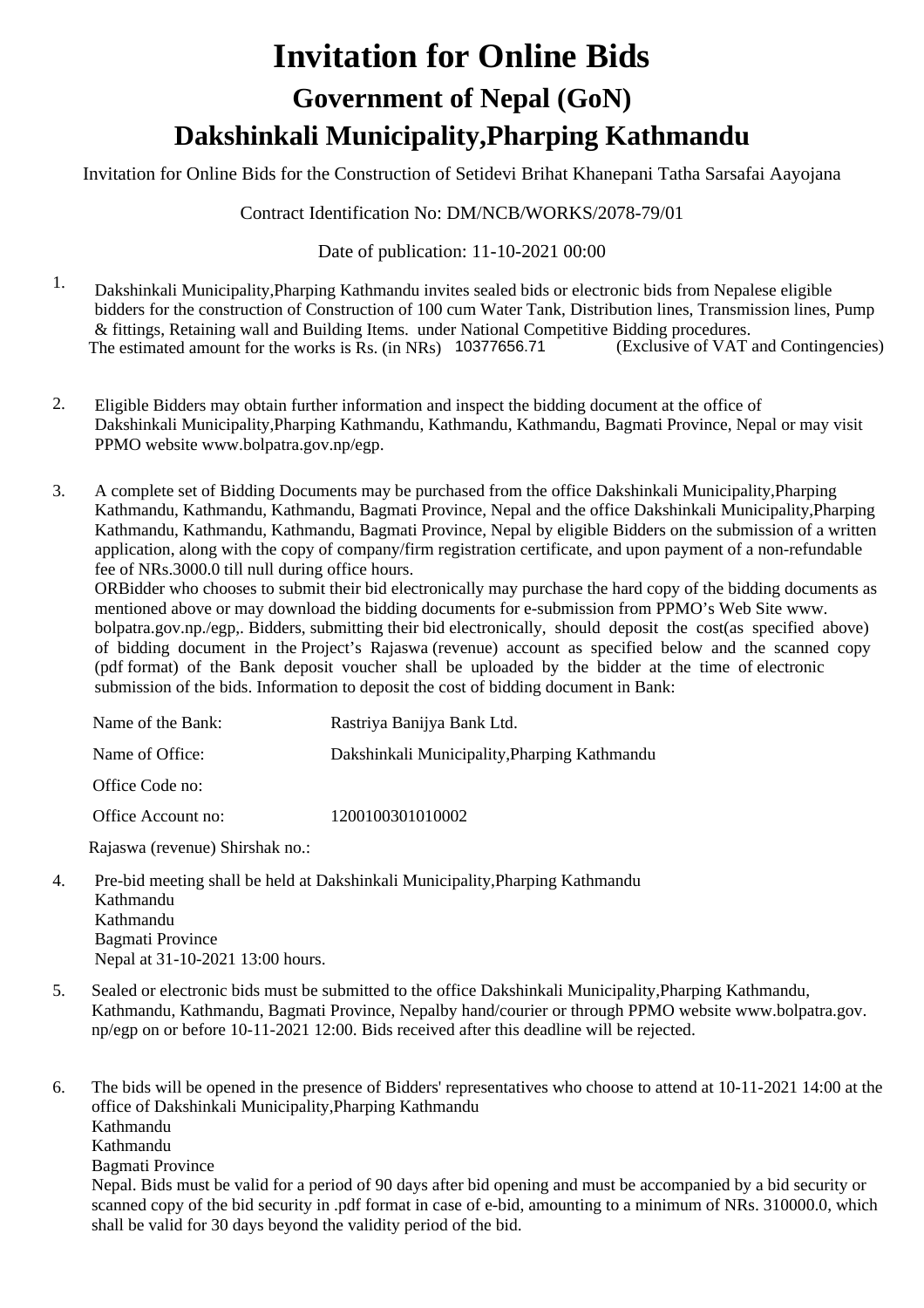# **Invitation for Online Bids Dakshinkali Municipality,Pharping Kathmandu Government of Nepal (GoN)**

Invitation for Online Bids for the Construction of Setidevi Brihat Khanepani Tatha Sarsafai Aayojana

Contract Identification No: DM/NCB/WORKS/2078-79/01

## Date of publication: 11-10-2021 00:00

- 1. Dakshinkali Municipality,Pharping Kathmandu invites sealed bids or electronic bids from Nepalese eligible bidders for the construction of Construction of 100 cum Water Tank, Distribution lines, Transmission lines, Pump & fittings, Retaining wall and Building Items. under National Competitive Bidding procedures.<br>The estimated amount for the works is Rs. (in NRs) 10377656.71 (Exclusive of VAT and Contingencies) The estimated amount for the works is  $\bar{R}s$ . (in NRs) 10377656.71
- 2. Eligible Bidders may obtain further information and inspect the bidding document at the office of Dakshinkali Municipality,Pharping Kathmandu, Kathmandu, Kathmandu, Bagmati Province, Nepal or may visit PPMO website www.bolpatra.gov.np/egp.
- 3. A complete set of Bidding Documents may be purchased from the office Dakshinkali Municipality,Pharping Kathmandu, Kathmandu, Kathmandu, Bagmati Province, Nepal and the office Dakshinkali Municipality,Pharping Kathmandu, Kathmandu, Kathmandu, Bagmati Province, Nepal by eligible Bidders on the submission of a written application, along with the copy of company/firm registration certificate, and upon payment of a non-refundable fee of NRs.3000.0 till null during office hours.

ORBidder who chooses to submit their bid electronically may purchase the hard copy of the bidding documents as mentioned above or may download the bidding documents for e-submission from PPMO's Web Site www. bolpatra.gov.np./egp,. Bidders, submitting their bid electronically, should deposit the cost(as specified above) of bidding document in the Project's Rajaswa (revenue) account as specified below and the scanned copy (pdf format) of the Bank deposit voucher shall be uploaded by the bidder at the time of electronic submission of the bids. Information to deposit the cost of bidding document in Bank:

| Name of the Bank:  | Rastriya Banijya Bank Ltd.                   |
|--------------------|----------------------------------------------|
| Name of Office:    | Dakshinkali Municipality, Pharping Kathmandu |
| Office Code no:    |                                              |
| Office Account no: | 1200100301010002                             |

Rajaswa (revenue) Shirshak no.:

4. Pre-bid meeting shall be held at Dakshinkali Municipality,Pharping Kathmandu Kathmandu Kathmandu Bagmati Province Nepal at 31-10-2021 13:00 hours.

shall be valid for 30 days beyond the validity period of the bid.

5. Sealed or electronic bids must be submitted to the office Dakshinkali Municipality,Pharping Kathmandu, Kathmandu, Kathmandu, Bagmati Province, Nepalby hand/courier or through PPMO website www.bolpatra.gov. np/egp on or before 10-11-2021 12:00. Bids received after this deadline will be rejected.

The bids will be opened in the presence of Bidders' representatives who choose to attend at 10-11-2021 14:00 at the office of Dakshinkali Municipality,Pharping Kathmandu Kathmandu Kathmandu Bagmati Province Nepal. Bids must be valid for a period of 90 days after bid opening and must be accompanied by a bid security or scanned copy of the bid security in .pdf format in case of e-bid, amounting to a minimum of NRs. 310000.0, which 6.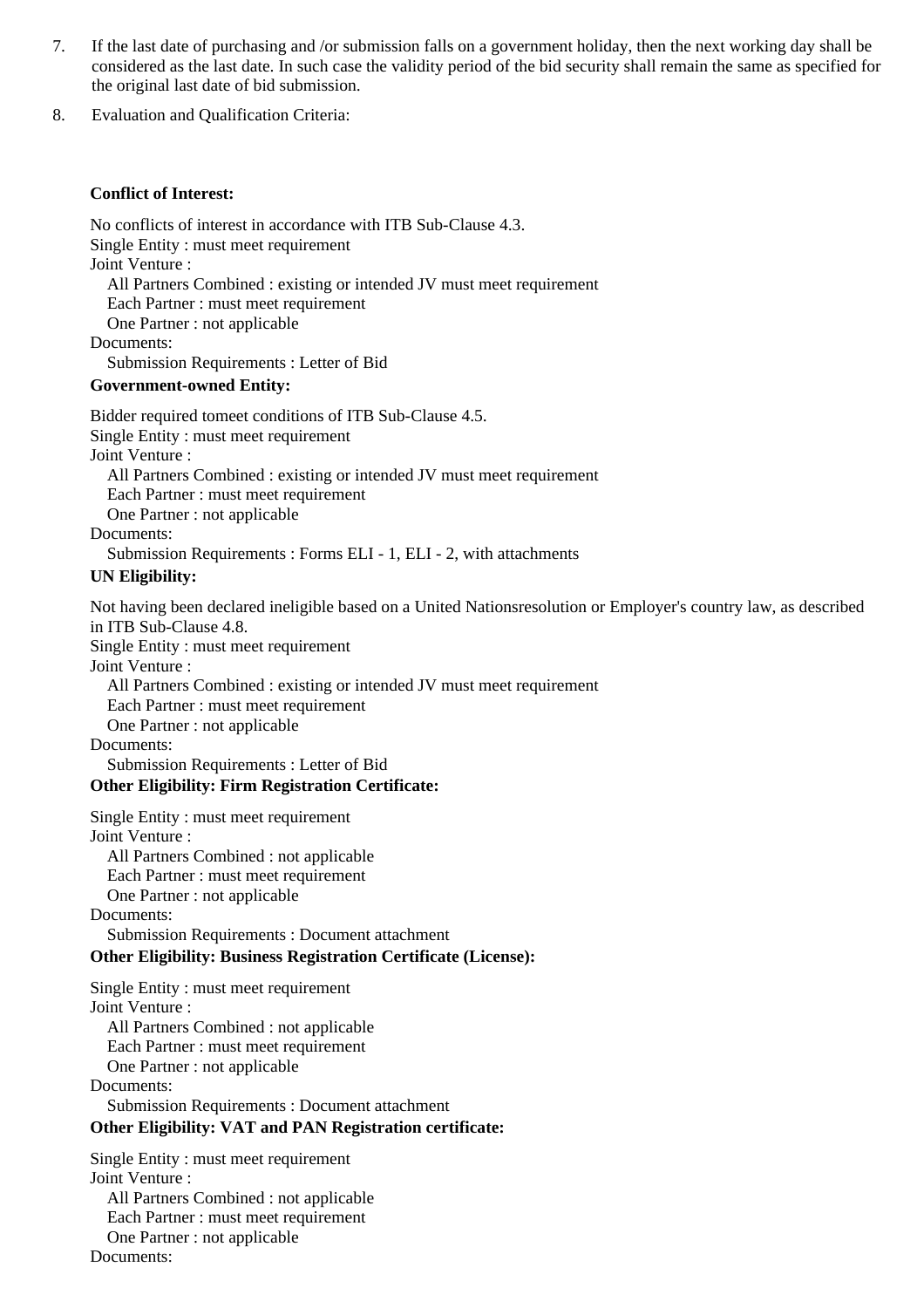- If the last date of purchasing and /or submission falls on a government holiday, then the next working day shall be considered as the last date. In such case the validity period of the bid security shall remain the same as specified for the original last date of bid submission. 7.
- 8. Evaluation and Qualification Criteria:

#### **Conflict of Interest:**

No conflicts of interest in accordance with ITB Sub-Clause 4.3. Single Entity : must meet requirement Joint Venture : All Partners Combined : existing or intended JV must meet requirement Each Partner : must meet requirement One Partner : not applicable Documents: Submission Requirements : Letter of Bid

#### **Government-owned Entity:**

Bidder required tomeet conditions of ITB Sub-Clause 4.5. Single Entity : must meet requirement Joint Venture : All Partners Combined : existing or intended JV must meet requirement Each Partner : must meet requirement One Partner : not applicable Documents: Submission Requirements : Forms ELI - 1, ELI - 2, with attachments

#### **UN Eligibility:**

Not having been declared ineligible based on a United Nationsresolution or Employer's country law, as described in ITB Sub-Clause 4.8. Single Entity : must meet requirement Joint Venture : All Partners Combined : existing or intended JV must meet requirement Each Partner : must meet requirement One Partner : not applicable Documents: Submission Requirements : Letter of Bid

#### **Other Eligibility: Firm Registration Certificate:**

Single Entity : must meet requirement Joint Venture : All Partners Combined : not applicable Each Partner : must meet requirement One Partner : not applicable Documents: Submission Requirements : Document attachment

## **Other Eligibility: Business Registration Certificate (License):**

Single Entity : must meet requirement Joint Venture : All Partners Combined : not applicable Each Partner : must meet requirement One Partner : not applicable Documents: Submission Requirements : Document attachment

## **Other Eligibility: VAT and PAN Registration certificate:**

Single Entity : must meet requirement Joint Venture : All Partners Combined : not applicable Each Partner : must meet requirement One Partner : not applicable Documents: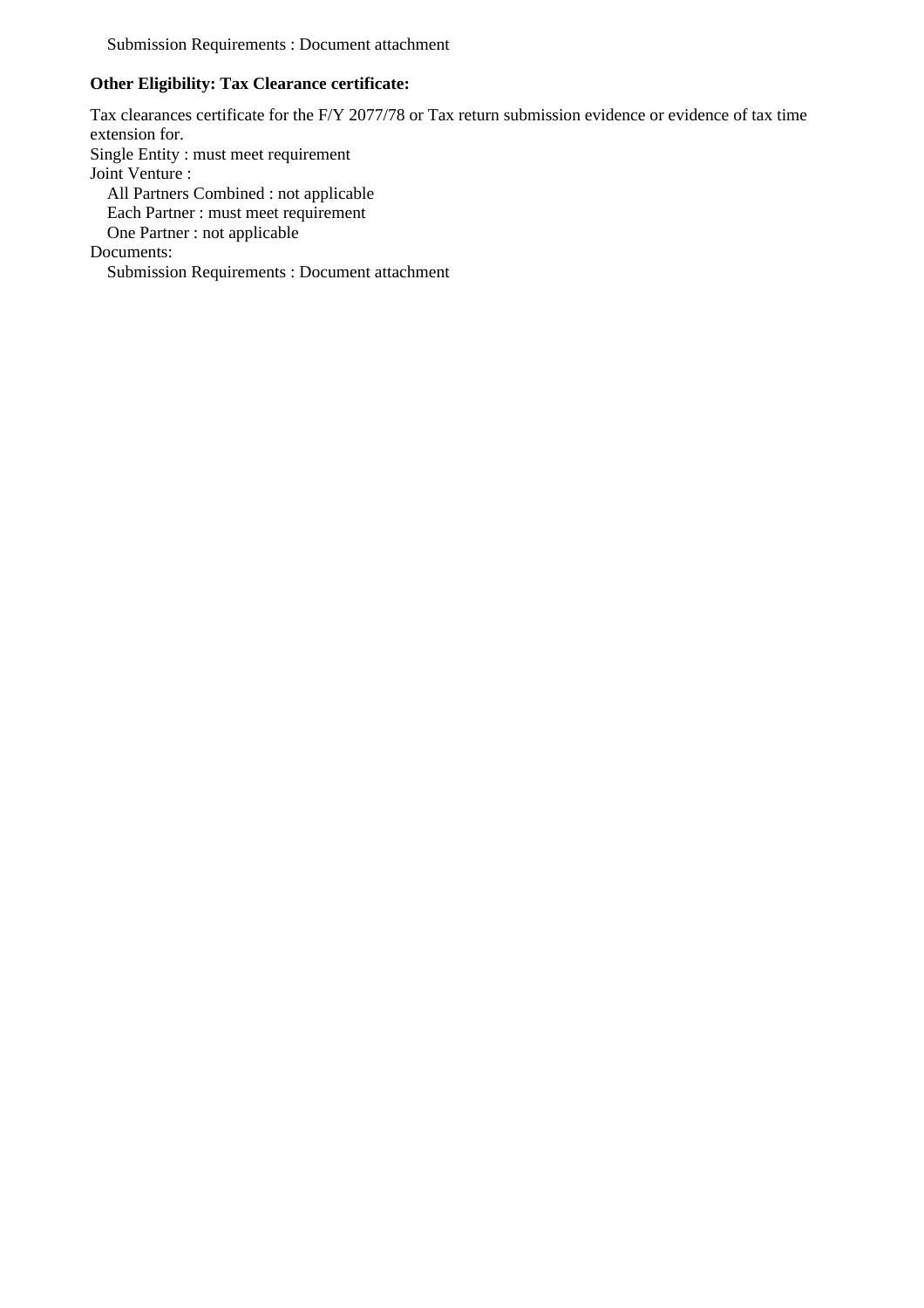Submission Requirements : Document attachment

## **Other Eligibility: Tax Clearance certificate:**

Tax clearances certificate for the F/Y 2077/78 or Tax return submission evidence or evidence of tax time extension for. Single Entity : must meet requirement Joint Venture : All Partners Combined : not applicable Each Partner : must meet requirement One Partner : not applicable Documents: Submission Requirements : Document attachment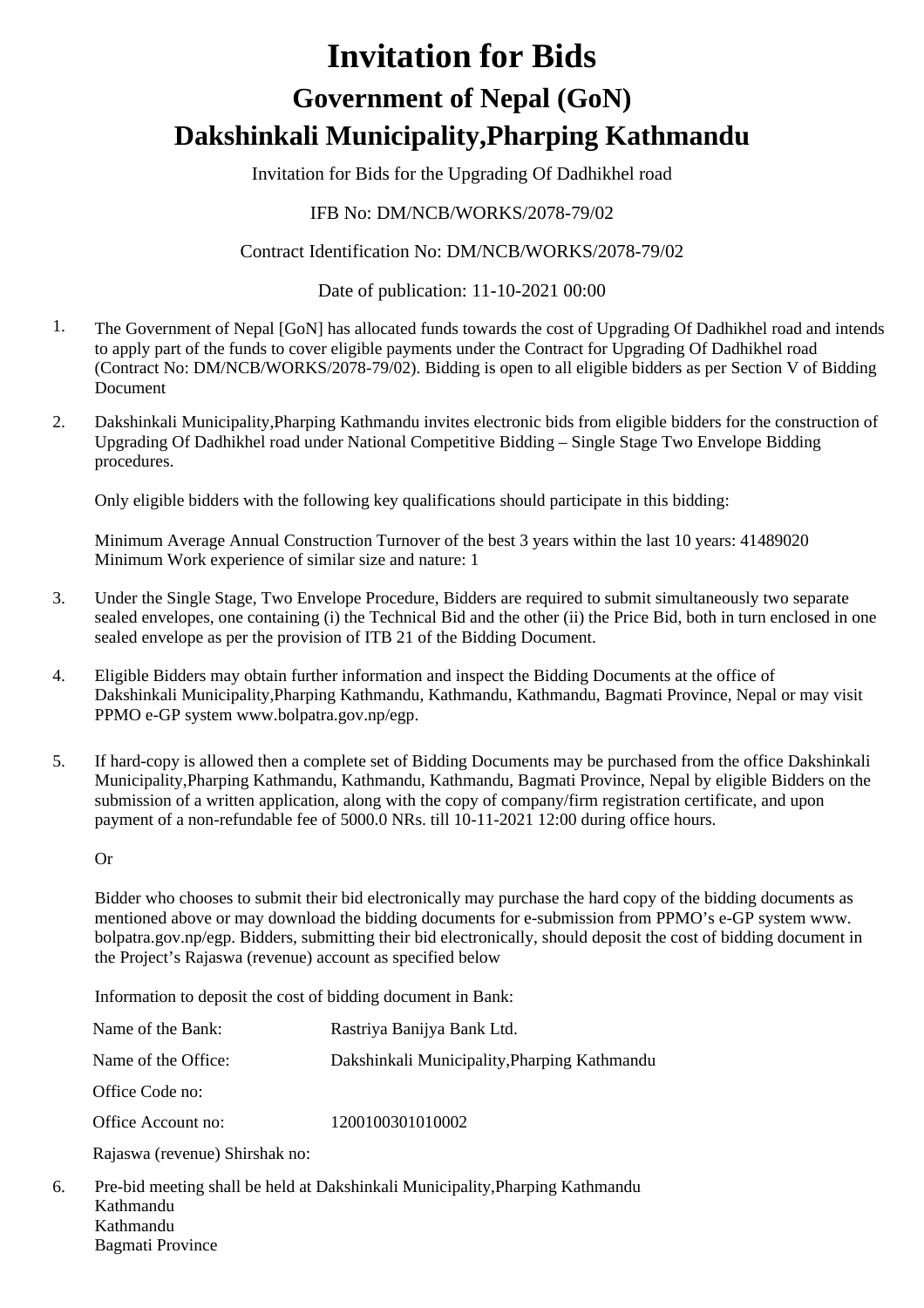# **Invitation for Bids Dakshinkali Municipality,Pharping Kathmandu Government of Nepal (GoN)**

Invitation for Bids for the Upgrading Of Dadhikhel road

## IFB No: DM/NCB/WORKS/2078-79/02

## Contract Identification No: DM/NCB/WORKS/2078-79/02

## Date of publication: 11-10-2021 00:00

- 1. The Government of Nepal [GoN] has allocated funds towards the cost of Upgrading Of Dadhikhel road and intends to apply part of the funds to cover eligible payments under the Contract for Upgrading Of Dadhikhel road (Contract No: DM/NCB/WORKS/2078-79/02). Bidding is open to all eligible bidders as per Section V of Bidding Document
- Dakshinkali Municipality,Pharping Kathmandu invites electronic bids from eligible bidders for the construction of Upgrading Of Dadhikhel road under National Competitive Bidding – Single Stage Two Envelope Bidding procedures. 2.

Only eligible bidders with the following key qualifications should participate in this bidding:

Minimum Average Annual Construction Turnover of the best 3 years within the last 10 years: 41489020 Minimum Work experience of similar size and nature: 1

- Under the Single Stage, Two Envelope Procedure, Bidders are required to submit simultaneously two separate sealed envelopes, one containing (i) the Technical Bid and the other (ii) the Price Bid, both in turn enclosed in one sealed envelope as per the provision of ITB 21 of the Bidding Document. 3.
- 4. Eligible Bidders may obtain further information and inspect the Bidding Documents at the office of Dakshinkali Municipality,Pharping Kathmandu, Kathmandu, Kathmandu, Bagmati Province, Nepal or may visit PPMO e-GP system www.bolpatra.gov.np/egp.
- 5. If hard-copy is allowed then a complete set of Bidding Documents may be purchased from the office Dakshinkali Municipality,Pharping Kathmandu, Kathmandu, Kathmandu, Bagmati Province, Nepal by eligible Bidders on the submission of a written application, along with the copy of company/firm registration certificate, and upon payment of a non-refundable fee of 5000.0 NRs. till 10-11-2021 12:00 during office hours.

Or

Bidder who chooses to submit their bid electronically may purchase the hard copy of the bidding documents as mentioned above or may download the bidding documents for e-submission from PPMO's e-GP system www. bolpatra.gov.np/egp. Bidders, submitting their bid electronically, should deposit the cost of bidding document in the Project's Rajaswa (revenue) account as specified below

Information to deposit the cost of bidding document in Bank:

| Name of the Bank:              | Rastriya Banijya Bank Ltd.                   |
|--------------------------------|----------------------------------------------|
| Name of the Office:            | Dakshinkali Municipality, Pharping Kathmandu |
| Office Code no:                |                                              |
| Office Account no:             | 1200100301010002                             |
| Rajaswa (revenue) Shirshak no: |                                              |
|                                |                                              |

6. Pre-bid meeting shall be held at Dakshinkali Municipality,Pharping Kathmandu Kathmandu Kathmandu Bagmati Province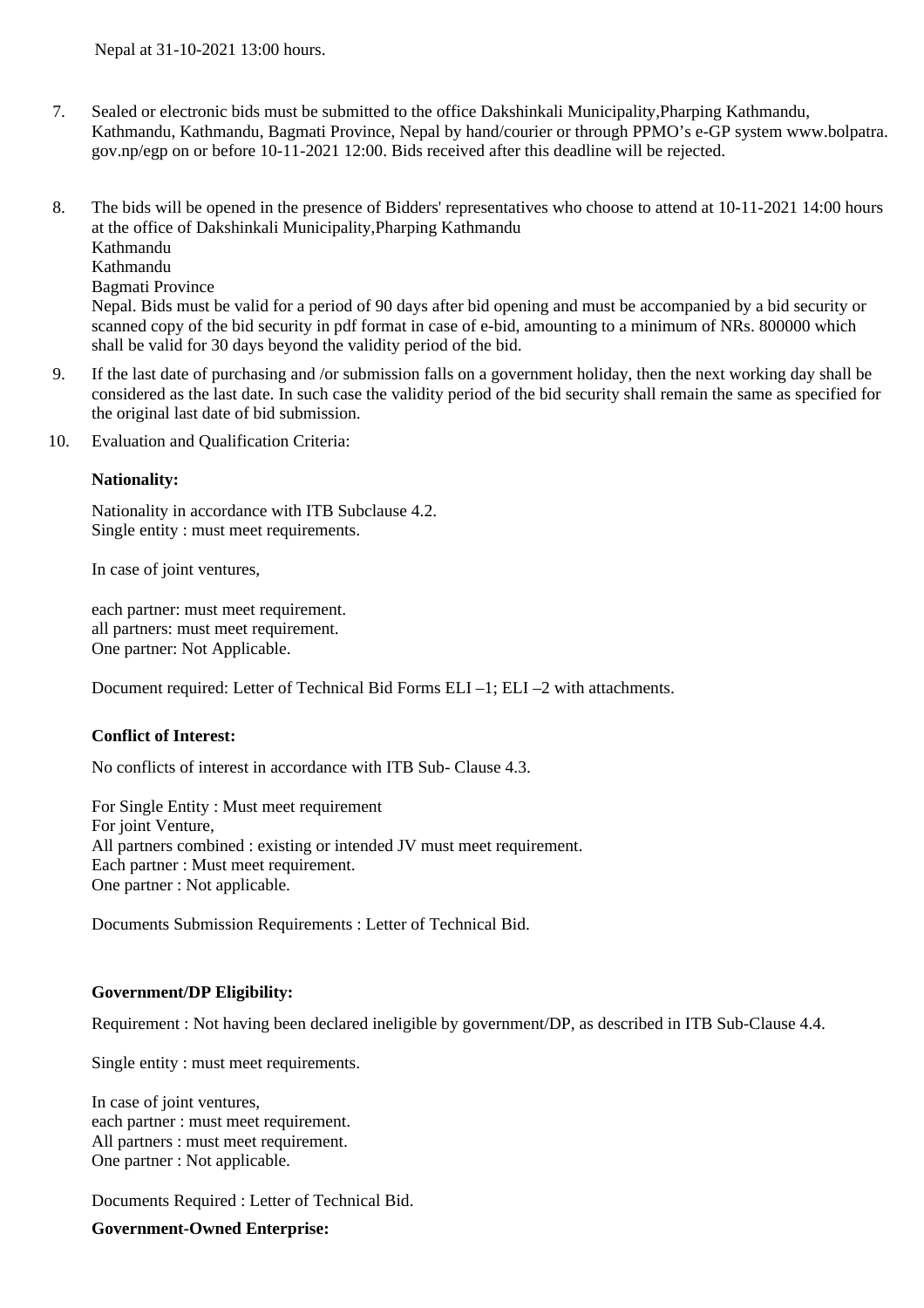- 7. Sealed or electronic bids must be submitted to the office Dakshinkali Municipality,Pharping Kathmandu, Kathmandu, Kathmandu, Bagmati Province, Nepal by hand/courier or through PPMO's e-GP system www.bolpatra. gov.np/egp on or before 10-11-2021 12:00. Bids received after this deadline will be rejected.
- The bids will be opened in the presence of Bidders' representatives who choose to attend at 10-11-2021 14:00 hours at the office of Dakshinkali Municipality,Pharping Kathmandu Kathmandu Kathmandu Bagmati Province Nepal. Bids must be valid for a period of 90 days after bid opening and must be accompanied by a bid security or scanned copy of the bid security in pdf format in case of e-bid, amounting to a minimum of NRs. 800000 which shall be valid for 30 days beyond the validity period of the bid. 8.
- If the last date of purchasing and /or submission falls on a government holiday, then the next working day shall be considered as the last date. In such case the validity period of the bid security shall remain the same as specified for the original last date of bid submission. 9.
- 10. Evaluation and Qualification Criteria:

#### **Nationality:**

Nationality in accordance with ITB Subclause 4.2. Single entity : must meet requirements.

In case of joint ventures,

each partner: must meet requirement. all partners: must meet requirement. One partner: Not Applicable.

Document required: Letter of Technical Bid Forms ELI –1; ELI –2 with attachments.

#### **Conflict of Interest:**

No conflicts of interest in accordance with ITB Sub- Clause 4.3.

For Single Entity : Must meet requirement For joint Venture, All partners combined : existing or intended JV must meet requirement. Each partner : Must meet requirement. One partner : Not applicable.

Documents Submission Requirements : Letter of Technical Bid.

#### **Government/DP Eligibility:**

Requirement : Not having been declared ineligible by government/DP, as described in ITB Sub-Clause 4.4.

Single entity : must meet requirements.

In case of joint ventures, each partner : must meet requirement. All partners : must meet requirement. One partner : Not applicable.

Documents Required : Letter of Technical Bid.

#### **Government-Owned Enterprise:**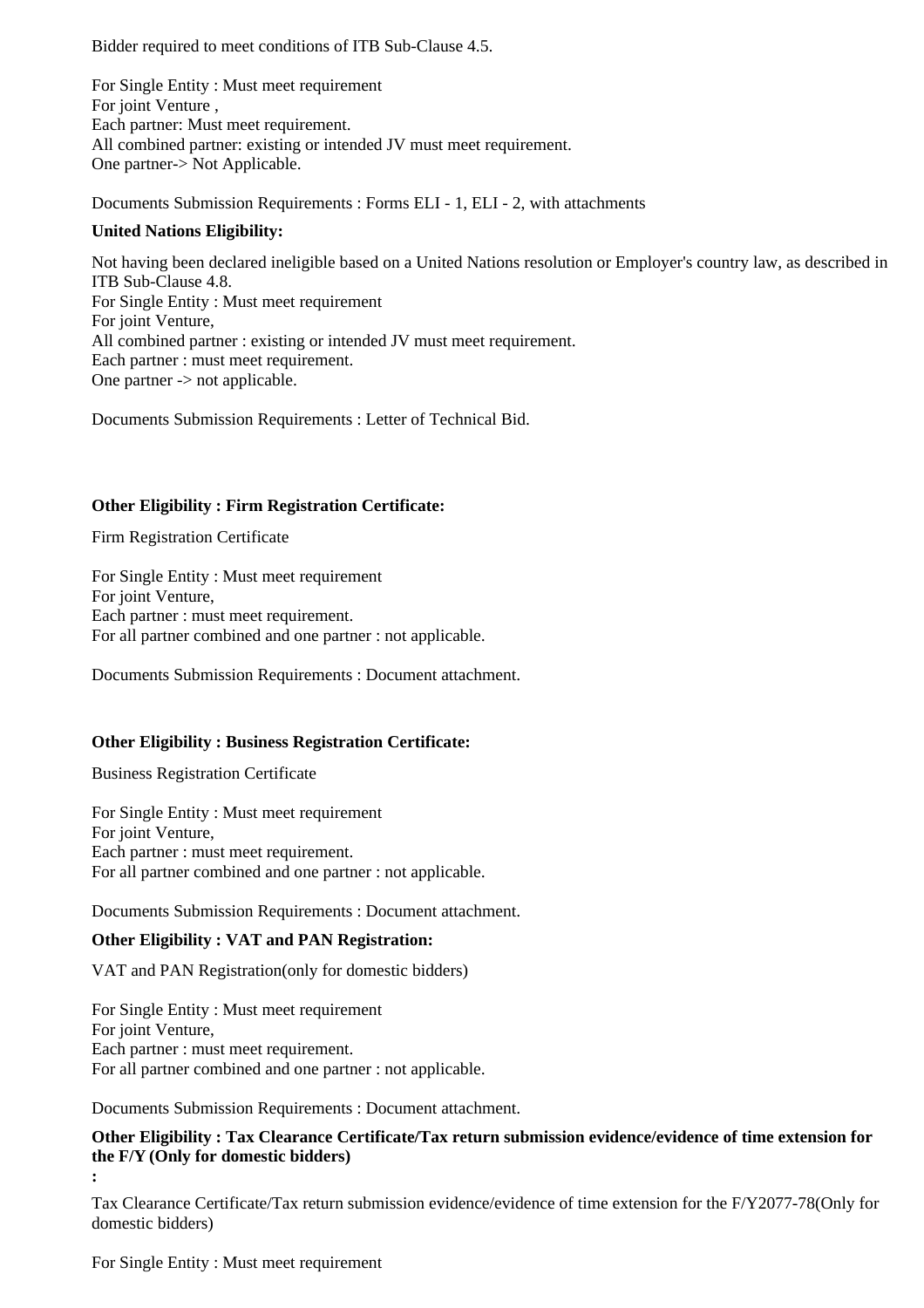Bidder required to meet conditions of ITB Sub-Clause 4.5.

For Single Entity : Must meet requirement For joint Venture , Each partner: Must meet requirement. All combined partner: existing or intended JV must meet requirement. One partner-> Not Applicable.

Documents Submission Requirements : Forms ELI - 1, ELI - 2, with attachments

#### **United Nations Eligibility:**

Not having been declared ineligible based on a United Nations resolution or Employer's country law, as described in ITB Sub-Clause 4.8. For Single Entity : Must meet requirement For joint Venture, All combined partner : existing or intended JV must meet requirement. Each partner : must meet requirement. One partner -> not applicable.

Documents Submission Requirements : Letter of Technical Bid.

#### **Other Eligibility : Firm Registration Certificate:**

Firm Registration Certificate

For Single Entity : Must meet requirement For joint Venture, Each partner : must meet requirement. For all partner combined and one partner : not applicable.

Documents Submission Requirements : Document attachment.

#### **Other Eligibility : Business Registration Certificate:**

Business Registration Certificate

For Single Entity : Must meet requirement For joint Venture. Each partner : must meet requirement. For all partner combined and one partner : not applicable.

Documents Submission Requirements : Document attachment.

#### **Other Eligibility : VAT and PAN Registration:**

VAT and PAN Registration(only for domestic bidders)

For Single Entity : Must meet requirement For joint Venture, Each partner : must meet requirement. For all partner combined and one partner : not applicable.

Documents Submission Requirements : Document attachment.

## **Other Eligibility : Tax Clearance Certificate/Tax return submission evidence/evidence of time extension for the F/Y (Only for domestic bidders)**

**:**

Tax Clearance Certificate/Tax return submission evidence/evidence of time extension for the F/Y2077-78(Only for domestic bidders)

For Single Entity : Must meet requirement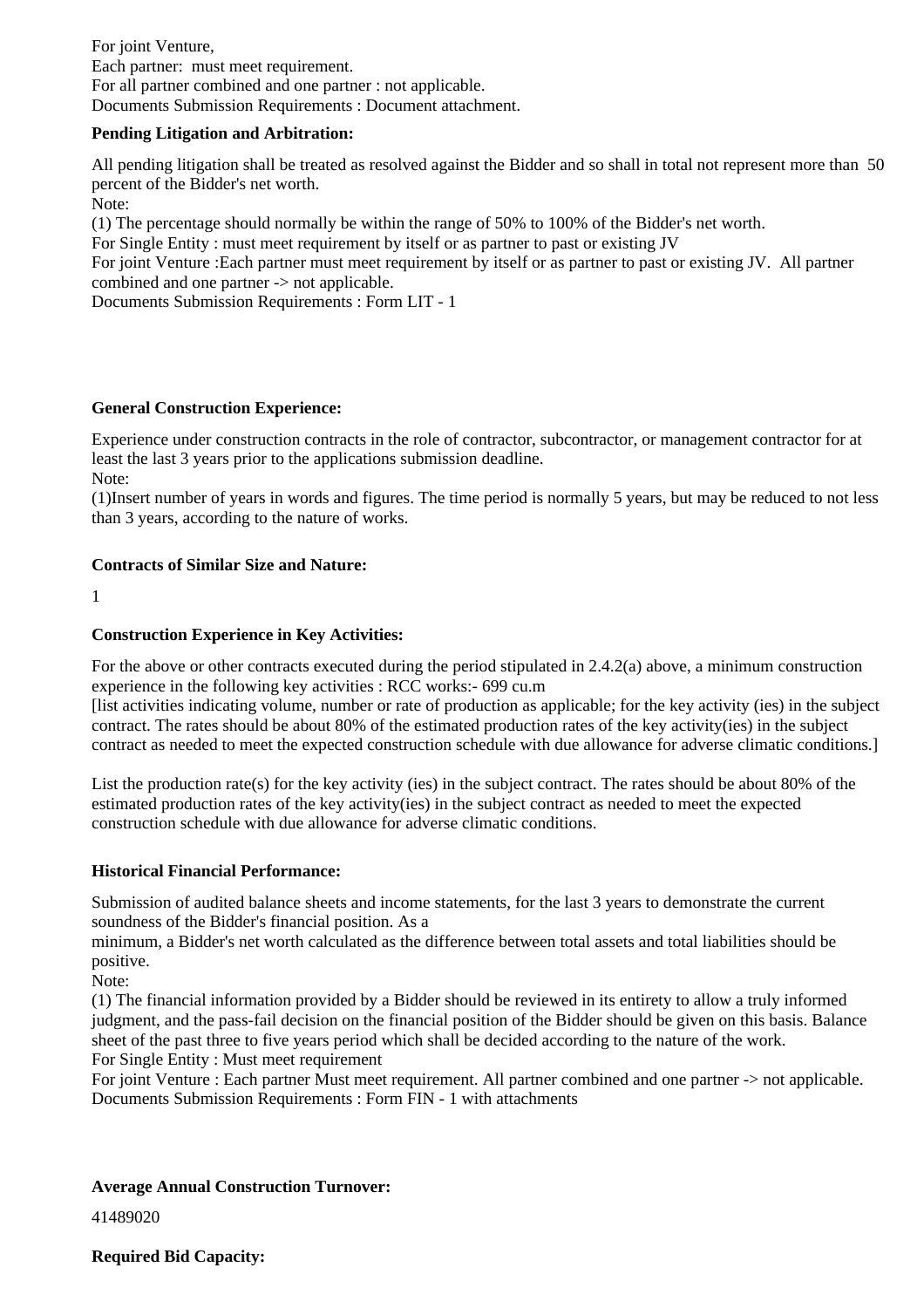For joint Venture, Each partner: must meet requirement. For all partner combined and one partner : not applicable. Documents Submission Requirements : Document attachment.

#### **Pending Litigation and Arbitration:**

All pending litigation shall be treated as resolved against the Bidder and so shall in total not represent more than 50 percent of the Bidder's net worth.

Note:

(1) The percentage should normally be within the range of 50% to 100% of the Bidder's net worth.

For Single Entity : must meet requirement by itself or as partner to past or existing JV

For joint Venture :Each partner must meet requirement by itself or as partner to past or existing JV. All partner combined and one partner -> not applicable.

Documents Submission Requirements : Form LIT - 1

#### **General Construction Experience:**

Experience under construction contracts in the role of contractor, subcontractor, or management contractor for at least the last 3 years prior to the applications submission deadline.

Note:

(1)Insert number of years in words and figures. The time period is normally 5 years, but may be reduced to not less than 3 years, according to the nature of works.

#### **Contracts of Similar Size and Nature:**

1

#### **Construction Experience in Key Activities:**

For the above or other contracts executed during the period stipulated in 2.4.2(a) above, a minimum construction experience in the following key activities : RCC works:- 699 cu.m

[list activities indicating volume, number or rate of production as applicable; for the key activity (ies) in the subject contract. The rates should be about 80% of the estimated production rates of the key activity(ies) in the subject contract as needed to meet the expected construction schedule with due allowance for adverse climatic conditions.]

List the production rate(s) for the key activity (ies) in the subject contract. The rates should be about 80% of the estimated production rates of the key activity(ies) in the subject contract as needed to meet the expected construction schedule with due allowance for adverse climatic conditions.

#### **Historical Financial Performance:**

Submission of audited balance sheets and income statements, for the last 3 years to demonstrate the current soundness of the Bidder's financial position. As a

minimum, a Bidder's net worth calculated as the difference between total assets and total liabilities should be positive.

Note:

(1) The financial information provided by a Bidder should be reviewed in its entirety to allow a truly informed judgment, and the pass-fail decision on the financial position of the Bidder should be given on this basis. Balance sheet of the past three to five years period which shall be decided according to the nature of the work. For Single Entity : Must meet requirement

For joint Venture : Each partner Must meet requirement. All partner combined and one partner -> not applicable. Documents Submission Requirements : Form FIN - 1 with attachments

#### **Average Annual Construction Turnover:**

41489020

**Required Bid Capacity:**